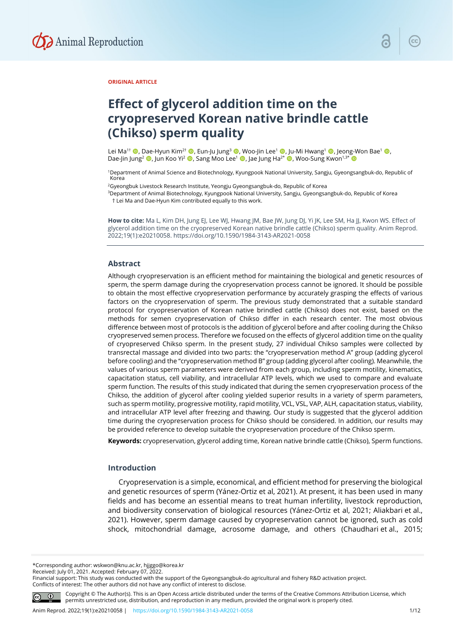

#### **ORIGINAL ARTICLE**

# **Effect of glycerol addition time on the cryopreserved Korean native brindle cattle (Chikso) sperm quality**

Lei Ma<sup>1†</sup> ©, Dae-Hyun Kim<sup>2†</sup> ©, Eun-Ju Jung<sup>3</sup> ©, Woo-Jin Lee<sup>1</sup> ©, Ju-Mi Hwang<sup>1</sup> ©, Jeong-Won Bae<sup>1</sup> ©, Dae-Jin Jung<sup>2</sup> (D, Jun Koo Yi<sup>2</sup> (D, Sang Moo Lee<sup>1</sup> (D, Jae Jung Ha<sup>2\*</sup> (D, Woo-Sung Kwon<sup>1,3\*</sup> (D

<sup>1</sup>Department of Animal Science and Biotechnology, Kyungpook National University, Sangju, Gyeongsangbuk-do, Republic of Korea

<sup>2</sup>Gyeongbuk Livestock Research Institute, Yeongju Gyeongsangbuk-do, Republic of Korea

<sup>3</sup>Department of Animal Biotechnology, Kyungpook National University, Sangju, Gyeongsangbuk-do, Republic of Korea † Lei Ma and Dae-Hyun Kim contributed equally to this work.

**How to cite:** Ma L, Kim DH, Jung EJ, Lee WJ, Hwang JM, Bae JW, Jung DJ, Yi JK, Lee SM, Ha JJ, Kwon WS. Effect of glycerol addition time on the cryopreserved Korean native brindle cattle (Chikso) sperm quality. Anim Reprod. 2022;19(1):e20210058. https://doi.org/10.1590/1984-3143-AR2021-0058

## **Abstract**

Although cryopreservation is an efficient method for maintaining the biological and genetic resources of sperm, the sperm damage during the cryopreservation process cannot be ignored. It should be possible to obtain the most effective cryopreservation performance by accurately grasping the effects of various factors on the cryopreservation of sperm. The previous study demonstrated that a suitable standard protocol for cryopreservation of Korean native brindled cattle (Chikso) does not exist, based on the methods for semen cryopreservation of Chikso differ in each research center. The most obvious difference between most of protocols is the addition of glycerol before and after cooling during the Chikso cryopreserved semen process. Therefore we focused on the effects of glycerol addition time on the quality of cryopreserved Chikso sperm. In the present study, 27 individual Chikso samples were collected by transrectal massage and divided into two parts: the "cryopreservation method A" group (adding glycerol before cooling) and the "cryopreservation method B" group (adding glycerol after cooling). Meanwhile, the values of various sperm parameters were derived from each group, including sperm motility, kinematics, capacitation status, cell viability, and intracellular ATP levels, which we used to compare and evaluate sperm function. The results of this study indicated that during the semen cryopreservation process of the Chikso, the addition of glycerol after cooling yielded superior results in a variety of sperm parameters, such as sperm motility, progressive motility, rapid motility, VCL, VSL, VAP, ALH, capacitation status, viability, and intracellular ATP level after freezing and thawing. Our study is suggested that the glycerol addition time during the cryopreservation process for Chikso should be considered. In addition, our results may be provided reference to develop suitable the cryopreservation procedure of the Chikso sperm.

**Keywords:** cryopreservation, glycerol adding time, Korean native brindle cattle (Chikso), Sperm functions.

#### **Introduction**

Cryopreservation is a simple, economical, and efficient method for preserving the biological and genetic resources of sperm (Yánez-Ortiz et al, 2021). At present, it has been used in many fields and has become an essential means to treat human infertility, livestock reproduction, and biodiversity conservation of biological resources (Yánez-Ortiz et al, 2021; Aliakbari et al., 2021). However, sperm damage caused by cryopreservation cannot be ignored, such as cold shock, mitochondrial damage, acrosome damage, and others (Chaudhari et al., 2015;

\*Corresponding author: wskwon@knu.ac.kr, hjjggo@korea.kr

Received: July 01, 2021. Accepted: February 07, 2022.

Financial support: This study was conducted with the support of the Gyeongsangbuk-do agricultural and fishery R&D activation project.

Conflicts of interest: The other authors did not have any conflict of interest to disclose.



Copyright © The Author(s). This is an Open Access article distributed under the terms of the Creative Commons Attribution License, which permits unrestricted use, distribution, and reproduction in any medium, provided the original work is properly cited.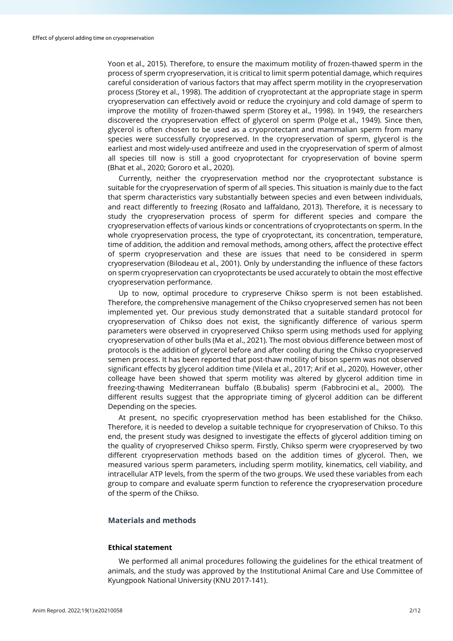Yoon et al., 2015). Therefore, to ensure the maximum motility of frozen-thawed sperm in the process of sperm cryopreservation, it is critical to limit sperm potential damage, which requires careful consideration of various factors that may affect sperm motility in the cryopreservation process (Storey et al., 1998). The addition of cryoprotectant at the appropriate stage in sperm cryopreservation can effectively avoid or reduce the cryoinjury and cold damage of sperm to improve the motility of frozen-thawed sperm (Storey et al., 1998). In 1949, the researchers discovered the cryopreservation effect of glycerol on sperm (Polge et al., 1949). Since then, glycerol is often chosen to be used as a cryoprotectant and mammalian sperm from many species were successfully cryopreserved. In the cryopreservation of sperm, glycerol is the earliest and most widely-used antifreeze and used in the cryopreservation of sperm of almost all species till now is still a good cryoprotectant for cryopreservation of bovine sperm (Bhat et al., 2020; Gororo et al., 2020).

Currently, neither the cryopreservation method nor the cryoprotectant substance is suitable for the cryopreservation of sperm of all species. This situation is mainly due to the fact that sperm characteristics vary substantially between species and even between individuals, and react differently to freezing (Rosato and Iaffaldano, 2013). Therefore, it is necessary to study the cryopreservation process of sperm for different species and compare the cryopreservation effects of various kinds or concentrations of cryoprotectants on sperm. In the whole cryopreservation process, the type of cryoprotectant, its concentration, temperature, time of addition, the addition and removal methods, among others, affect the protective effect of sperm cryopreservation and these are issues that need to be considered in sperm cryopreservation (Bilodeau et al., 2001). Only by understanding the influence of these factors on sperm cryopreservation can cryoprotectants be used accurately to obtain the most effective cryopreservation performance.

Up to now, optimal procedure to crypreserve Chikso sperm is not been established. Therefore, the comprehensive management of the Chikso cryopreserved semen has not been implemented yet. Our previous study demonstrated that a suitable standard protocol for cryopreservation of Chikso does not exist, the significantly difference of various sperm parameters were observed in cryopreserved Chikso sperm using methods used for applying cryopreservation of other bulls (Ma et al., 2021). The most obvious difference between most of protocols is the addition of glycerol before and after cooling during the Chikso cryopreserved semen process. It has been reported that post-thaw motility of bison sperm was not observed significant effects by glycerol addition time (Vilela et al., 2017; Arif et al., 2020). However, other colleage have been showed that sperm motility was altered by glycerol addition time in freezing-thawing Mediterranean buffalo (B.bubalis) sperm (Fabbrocini et al., 2000). The different results suggest that the appropriate timing of glycerol addition can be different Depending on the species.

At present, no specific cryopreservation method has been established for the Chikso. Therefore, it is needed to develop a suitable technique for cryopreservation of Chikso. To this end, the present study was designed to investigate the effects of glycerol addition timing on the quality of cryopreserved Chikso sperm. Firstly, Chikso sperm were cryopreserved by two different cryopreservation methods based on the addition times of glycerol. Then, we measured various sperm parameters, including sperm motility, kinematics, cell viability, and intracellular ATP levels, from the sperm of the two groups. We used these variables from each group to compare and evaluate sperm function to reference the cryopreservation procedure of the sperm of the Chikso.

## **Materials and methods**

#### **Ethical statement**

We performed all animal procedures following the guidelines for the ethical treatment of animals, and the study was approved by the Institutional Animal Care and Use Committee of Kyungpook National University (KNU 2017-141).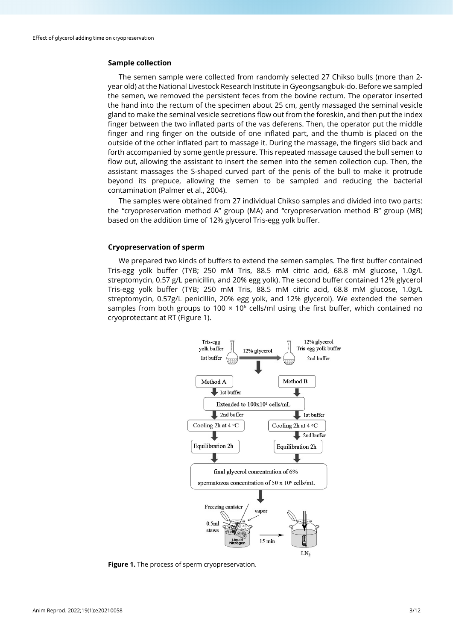## **Sample collection**

The semen sample were collected from randomly selected 27 Chikso bulls (more than 2 year old) at the National Livestock Research Institute in Gyeongsangbuk-do. Before we sampled the semen, we removed the persistent feces from the bovine rectum. The operator inserted the hand into the rectum of the specimen about 25 cm, gently massaged the seminal vesicle gland to make the seminal vesicle secretions flow out from the foreskin, and then put the index finger between the two inflated parts of the vas deferens. Then, the operator put the middle finger and ring finger on the outside of one inflated part, and the thumb is placed on the outside of the other inflated part to massage it. During the massage, the fingers slid back and forth accompanied by some gentle pressure. This repeated massage caused the bull semen to flow out, allowing the assistant to insert the semen into the semen collection cup. Then, the assistant massages the S-shaped curved part of the penis of the bull to make it protrude beyond its prepuce, allowing the semen to be sampled and reducing the bacterial contamination (Palmer et al., 2004).

The samples were obtained from 27 individual Chikso samples and divided into two parts: the "cryopreservation method A" group (MA) and "cryopreservation method B" group (MB) based on the addition time of 12% glycerol Tris-egg yolk buffer.

## **Cryopreservation of sperm**

We prepared two kinds of buffers to extend the semen samples. The first buffer contained Tris-egg yolk buffer (TYB; 250 mM Tris, 88.5 mM citric acid, 68.8 mM glucose, 1.0g/L streptomycin, 0.57 g/L penicillin, and 20% egg yolk). The second buffer contained 12% glycerol Tris-egg yolk buffer (TYB; 250 mM Tris, 88.5 mM citric acid, 68.8 mM glucose, 1.0g/L streptomycin, 0.57g/L penicillin, 20% egg yolk, and 12% glycerol). We extended the semen samples from both groups to 100  $\times$  10<sup>6</sup> cells/ml using the first buffer, which contained no cryoprotectant at RT (Figure 1).



**Figure 1.** The process of sperm cryopreservation.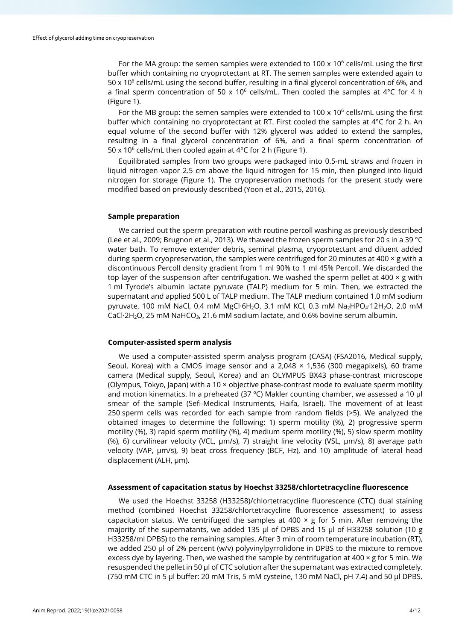For the MA group: the semen samples were extended to  $100 \times 10^6$  cells/mL using the first buffer which containing no cryoprotectant at RT. The semen samples were extended again to  $50 \times 10^6$  cells/mL using the second buffer, resulting in a final glycerol concentration of 6%, and a final sperm concentration of 50 x 10<sup>6</sup> cells/mL. Then cooled the samples at 4°C for 4 h (Figure 1).

For the MB group: the semen samples were extended to 100 x 10<sup>6</sup> cells/mL using the first buffer which containing no cryoprotectant at RT. First cooled the samples at 4°C for 2 h. An equal volume of the second buffer with 12% glycerol was added to extend the samples, resulting in a final glycerol concentration of 6%, and a final sperm concentration of 50 x 10<sup>6</sup> cells/mL then cooled again at 4 $\degree$ C for 2 h (Figure 1).

Equilibrated samples from two groups were packaged into 0.5-mL straws and frozen in liquid nitrogen vapor 2.5 cm above the liquid nitrogen for 15 min, then plunged into liquid nitrogen for storage (Figure 1). The cryopreservation methods for the present study were modified based on previously described (Yoon et al., 2015, 2016).

## **Sample preparation**

We carried out the sperm preparation with routine percoll washing as previously described (Lee et al., 2009; Brugnon et al., 2013). We thawed the frozen sperm samples for 20 s in a 39 °C water bath. To remove extender debris, seminal plasma, cryoprotectant and diluent added during sperm cryopreservation, the samples were centrifuged for 20 minutes at 400  $\times$  g with a discontinuous Percoll density gradient from 1 ml 90% to 1 ml 45% Percoll. We discarded the top layer of the suspension after centrifugation. We washed the sperm pellet at  $400 \times g$  with 1 ml Tyrode's albumin lactate pyruvate (TALP) medium for 5 min. Then, we extracted the supernatant and applied 500 L of TALP medium. The TALP medium contained 1.0 mM sodium pyruvate, 100 mM NaCl, 0.4 mM MgCl·6H<sub>2</sub>O, 3.1 mM KCl, 0.3 mM Na<sub>2</sub>HPO<sub>4</sub>·12H<sub>2</sub>O, 2.0 mM CaCl $\cdot$ 2H<sub>2</sub>O, 25 mM NaHCO<sub>3</sub>, 21.6 mM sodium lactate, and 0.6% bovine serum albumin.

#### **Computer-assisted sperm analysis**

We used a computer-assisted sperm analysis program (CASA) (FSA2016, Medical supply, Seoul, Korea) with a CMOS image sensor and a 2,048  $\times$  1,536 (300 megapixels), 60 frame camera (Medical supply, Seoul, Korea) and an OLYMPUS BX43 phase-contrast microscope (Olympus, Tokyo, Japan) with a 10  $\times$  objective phase-contrast mode to evaluate sperm motility and motion kinematics. In a preheated (37 ºC) Makler counting chamber, we assessed a 10 μl smear of the sample (Sefi-Medical Instruments, Haifa, Israel). The movement of at least 250 sperm cells was recorded for each sample from random fields (>5). We analyzed the obtained images to determine the following: 1) sperm motility (%), 2) progressive sperm motility (%), 3) rapid sperm motility (%), 4) medium sperm motility (%), 5) slow sperm motility (%), 6) curvilinear velocity (VCL, µm/s), 7) straight line velocity (VSL, µm/s), 8) average path velocity (VAP, µm/s), 9) beat cross frequency (BCF, Hz), and 10) amplitude of lateral head displacement (ALH, µm).

#### **Assessment of capacitation status by Hoechst 33258/chlortetracycline fluorescence**

We used the Hoechst 33258 (H33258)/chlortetracycline fluorescence (CTC) dual staining method (combined Hoechst 33258/chlortetracycline fluorescence assessment) to assess capacitation status. We centrifuged the samples at 400  $\times$  g for 5 min. After removing the majority of the supernatants, we added 135 μl of DPBS and 15 μl of H33258 solution (10 g H33258/ml DPBS) to the remaining samples. After 3 min of room temperature incubation (RT), we added 250 μl of 2% percent (w/v) polyvinylpyrrolidone in DPBS to the mixture to remove excess dye by layering. Then, we washed the sample by centrifugation at  $400 \times g$  for 5 min. We resuspended the pellet in 50 μl of CTC solution after the supernatant was extracted completely. (750 mM CTC in 5 μl buffer: 20 mM Tris, 5 mM cysteine, 130 mM NaCl, pH 7.4) and 50 μl DPBS.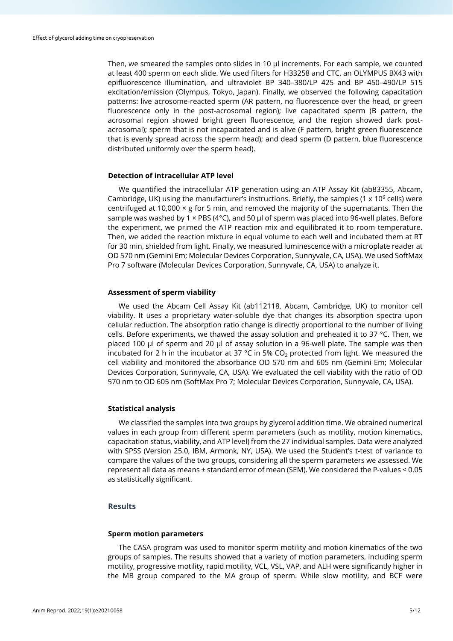Then, we smeared the samples onto slides in 10 μl increments. For each sample, we counted at least 400 sperm on each slide. We used filters for H33258 and CTC, an OLYMPUS BX43 with epifluorescence illumination, and ultraviolet BP 340–380/LP 425 and BP 450–490/LP 515 excitation/emission (Olympus, Tokyo, Japan). Finally, we observed the following capacitation patterns: live acrosome-reacted sperm (AR pattern, no fluorescence over the head, or green fluorescence only in the post-acrosomal region); live capacitated sperm (B pattern, the acrosomal region showed bright green fluorescence, and the region showed dark postacrosomal); sperm that is not incapacitated and is alive (F pattern, bright green fluorescence that is evenly spread across the sperm head); and dead sperm (D pattern, blue fluorescence distributed uniformly over the sperm head).

#### **Detection of intracellular ATP level**

We quantified the intracellular ATP generation using an ATP Assay Kit (ab83355, Abcam, Cambridge, UK) using the manufacturer's instructions. Briefly, the samples (1  $\times$  10<sup>6</sup> cells) were centrifuged at 10,000  $\times$  g for 5 min, and removed the majority of the supernatants. Then the sample was washed by 1  $\times$  PBS (4 $\degree$ C), and 50 µl of sperm was placed into 96-well plates. Before the experiment, we primed the ATP reaction mix and equilibrated it to room temperature. Then, we added the reaction mixture in equal volume to each well and incubated them at RT for 30 min, shielded from light. Finally, we measured luminescence with a microplate reader at OD 570 nm (Gemini Em; Molecular Devices Corporation, Sunnyvale, CA, USA). We used SoftMax Pro 7 software (Molecular Devices Corporation, Sunnyvale, CA, USA) to analyze it.

#### **Assessment of sperm viability**

We used the Abcam Cell Assay Kit (ab112118, Abcam, Cambridge, UK) to monitor cell viability. It uses a proprietary water-soluble dye that changes its absorption spectra upon cellular reduction. The absorption ratio change is directly proportional to the number of living cells. Before experiments, we thawed the assay solution and preheated it to 37 °C. Then, we placed 100 μl of sperm and 20 μl of assay solution in a 96-well plate. The sample was then incubated for 2 h in the incubator at 37  $^{\circ}$ C in 5% CO<sub>2</sub> protected from light. We measured the cell viability and monitored the absorbance OD 570 nm and 605 nm (Gemini Em; Molecular Devices Corporation, Sunnyvale, CA, USA). We evaluated the cell viability with the ratio of OD 570 nm to OD 605 nm (SoftMax Pro 7; Molecular Devices Corporation, Sunnyvale, CA, USA).

#### **Statistical analysis**

We classified the samples into two groups by glycerol addition time. We obtained numerical values in each group from different sperm parameters (such as motility, motion kinematics, capacitation status, viability, and ATP level) from the 27 individual samples. Data were analyzed with SPSS (Version 25.0, IBM, Armonk, NY, USA). We used the Student's t-test of variance to compare the values of the two groups, considering all the sperm parameters we assessed. We represent all data as means ± standard error of mean (SEM). We considered the P-values < 0.05 as statistically significant.

## **Results**

#### **Sperm motion parameters**

The CASA program was used to monitor sperm motility and motion kinematics of the two groups of samples. The results showed that a variety of motion parameters, including sperm motility, progressive motility, rapid motility, VCL, VSL, VAP, and ALH were significantly higher in the MB group compared to the MA group of sperm. While slow motility, and BCF were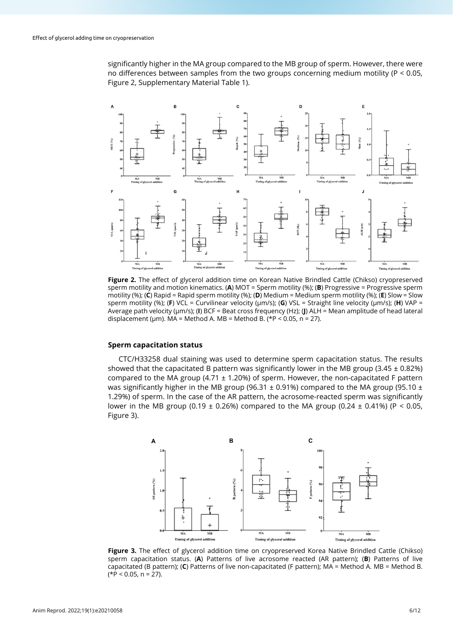significantly higher in the MA group compared to the MB group of sperm. However, there were no differences between samples from the two groups concerning medium motility (P < 0.05, Figure 2, Supplementary Material Table 1).



**Figure 2.** The effect of glycerol addition time on Korean Native Brindled Cattle (Chikso) cryopreserved sperm motility and motion kinematics. (**A**) MOT = Sperm motility (%); (**B**) Progressive = Progressive sperm motility (%); (**C**) Rapid = Rapid sperm motility (%); (**D**) Medium = Medium sperm motility (%); (**E**) Slow = Slow sperm motility (%); (**F**) VCL = Curvilinear velocity (μm/s); (**G**) VSL = Straight line velocity (μm/s); (**H**) VAP = Average path velocity (μm/s); (**I**) BCF = Beat cross frequency (Hz); (**J**) ALH = Mean amplitude of head lateral displacement (μm). MA = Method A. MB = Method B. (\*P < 0.05, n = 27).

#### **Sperm capacitation status**

CTC/H33258 dual staining was used to determine sperm capacitation status. The results showed that the capacitated B pattern was significantly lower in the MB group (3.45  $\pm$  0.82%) compared to the MA group (4.71  $\pm$  1.20%) of sperm. However, the non-capacitated F pattern was significantly higher in the MB group (96.31  $\pm$  0.91%) compared to the MA group (95.10  $\pm$ 1.29%) of sperm. In the case of the AR pattern, the acrosome-reacted sperm was significantly lower in the MB group (0.19  $\pm$  0.26%) compared to the MA group (0.24  $\pm$  0.41%) (P < 0.05, Figure 3).



**Figure 3.** The effect of glycerol addition time on cryopreserved Korea Native Brindled Cattle (Chikso) sperm capacitation status. (**A**) Patterns of live acrosome reacted (AR pattern); (**B**) Patterns of live capacitated (B pattern); (**C**) Patterns of live non-capacitated (F pattern); MA = Method A. MB = Method B.  $(*P < 0.05, n = 27).$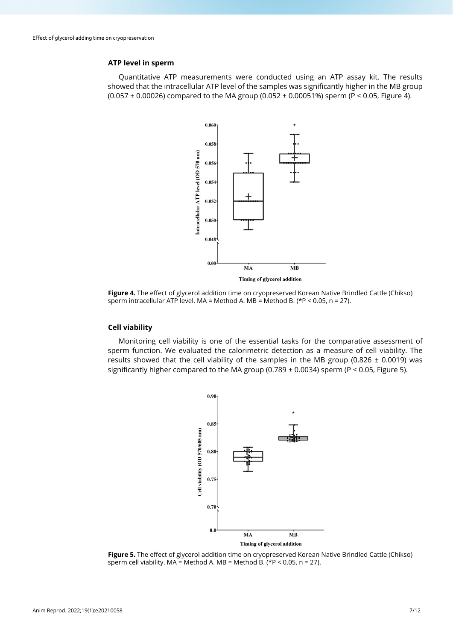## **ATP level in sperm**

Quantitative ATP measurements were conducted using an ATP assay kit. The results showed that the intracellular ATP level of the samples was significantly higher in the MB group (0.057  $\pm$  0.00026) compared to the MA group (0.052  $\pm$  0.00051%) sperm (P < 0.05, Figure 4).



**Figure 4.** The effect of glycerol addition time on cryopreserved Korean Native Brindled Cattle (Chikso) sperm intracellular ATP level. MA = Method A. MB = Method B. (\*P < 0.05, n = 27).

#### **Cell viability**

Monitoring cell viability is one of the essential tasks for the comparative assessment of sperm function. We evaluated the calorimetric detection as a measure of cell viability. The results showed that the cell viability of the samples in the MB group (0.826  $\pm$  0.0019) was significantly higher compared to the MA group (0.789  $\pm$  0.0034) sperm (P < 0.05, Figure 5).



**Figure 5.** The effect of glycerol addition time on cryopreserved Korean Native Brindled Cattle (Chikso) sperm cell viability.  $MA = Method A$ .  $MB = Method B$ .  $(*P < 0.05, n = 27)$ .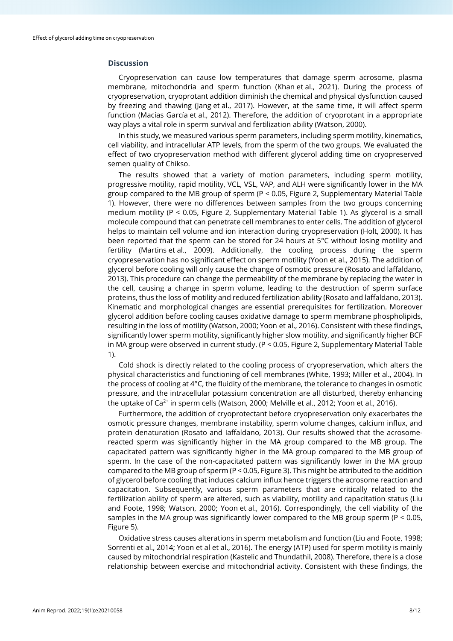### **Discussion**

Cryopreservation can cause low temperatures that damage sperm acrosome, plasma membrane, mitochondria and sperm function (Khan et al., 2021). During the process of cryopreservation, cryoprotant addition diminish the chemical and physical dysfunction caused by freezing and thawing (Jang et al., 2017). However, at the same time, it will affect sperm function (Macías García et al., 2012). Therefore, the addition of cryoprotant in a appropriate way plays a vital role in sperm survival and fertilization ability (Watson, 2000).

In this study, we measured various sperm parameters, including sperm motility, kinematics, cell viability, and intracellular ATP levels, from the sperm of the two groups. We evaluated the effect of two cryopreservation method with different glycerol adding time on cryopreserved semen quality of Chikso.

The results showed that a variety of motion parameters, including sperm motility, progressive motility, rapid motility, VCL, VSL, VAP, and ALH were significantly lower in the MA group compared to the MB group of sperm (P < 0.05, Figure 2, Supplementary Material Table 1). However, there were no differences between samples from the two groups concerning medium motility (P < 0.05, Figure 2, Supplementary Material Table 1). As glycerol is a small molecule compound that can penetrate cell membranes to enter cells. The addition of glycerol helps to maintain cell volume and ion interaction during cryopreservation (Holt, 2000). It has been reported that the sperm can be stored for 24 hours at 5°C without losing motility and fertility (Martins et al., 2009). Additionally, the cooling process during the sperm cryopreservation has no significant effect on sperm motility (Yoon et al., 2015). The addition of glycerol before cooling will only cause the change of osmotic pressure (Rosato and laffaldano, 2013). This procedure can change the permeability of the membrane by replacing the water in the cell, causing a change in sperm volume, leading to the destruction of sperm surface proteins, thus the loss of motility and reduced fertilization ability (Rosato and laffaldano, 2013). Kinematic and morphological changes are essential prerequisites for fertilization. Moreover glycerol addition before cooling causes oxidative damage to sperm membrane phospholipids, resulting in the loss of motility (Watson, 2000; Yoon et al., 2016). Consistent with these findings, significantly lower sperm motility, significantly higher slow motility, and significantly higher BCF in MA group were observed in current study. (P < 0.05, Figure 2, Supplementary Material Table 1).

Cold shock is directly related to the cooling process of cryopreservation, which alters the physical characteristics and functioning of cell membranes (White, 1993; Miller et al., 2004). In the process of cooling at  $4^{\circ}$ C, the fluidity of the membrane, the tolerance to changes in osmotic pressure, and the intracellular potassium concentration are all disturbed, thereby enhancing the uptake of Ca<sup>2+</sup> in sperm cells (Watson, 2000; Melville et al., 2012; Yoon et al., 2016).

Furthermore, the addition of cryoprotectant before cryopreservation only exacerbates the osmotic pressure changes, membrane instability, sperm volume changes, calcium influx, and protein denaturation (Rosato and Iaffaldano, 2013). Our results showed that the acrosomereacted sperm was significantly higher in the MA group compared to the MB group. The capacitated pattern was significantly higher in the MA group compared to the MB group of sperm. In the case of the non-capacitated pattern was significantly lower in the MA group compared to the MB group of sperm (P < 0.05, Figure 3). This might be attributed to the addition of glycerol before cooling that induces calcium influx hence triggers the acrosome reaction and capacitation. Subsequently, various sperm parameters that are critically related to the fertilization ability of sperm are altered, such as viability, motility and capacitation status (Liu and Foote, 1998; Watson, 2000; Yoon et al., 2016). Correspondingly, the cell viability of the samples in the MA group was significantly lower compared to the MB group sperm (P < 0.05, Figure 5).

Oxidative stress causes alterations in sperm metabolism and function (Liu and Foote, 1998; Sorrenti et al., 2014; Yoon et al et al., 2016). The energy (ATP) used for sperm motility is mainly caused by mitochondrial respiration (Kastelic and Thundathil, 2008). Therefore, there is a close relationship between exercise and mitochondrial activity. Consistent with these findings, the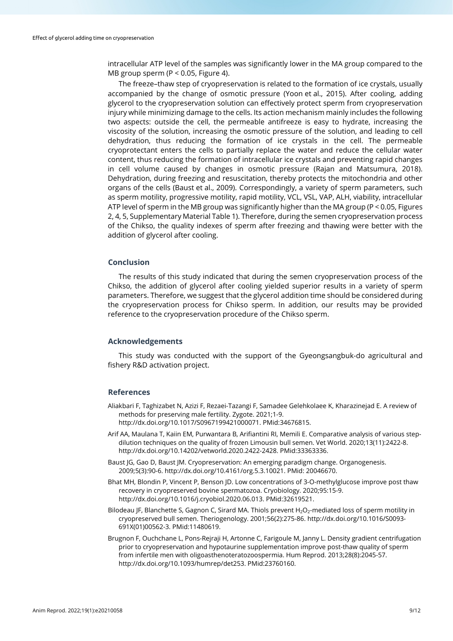intracellular ATP level of the samples was significantly lower in the MA group compared to the MB group sperm (P < 0.05, Figure 4).

The freeze–thaw step of cryopreservation is related to the formation of ice crystals, usually accompanied by the change of osmotic pressure (Yoon et al., 2015). After cooling, adding glycerol to the cryopreservation solution can effectively protect sperm from cryopreservation injury while minimizing damage to the cells. Its action mechanism mainly includes the following two aspects: outside the cell, the permeable antifreeze is easy to hydrate, increasing the viscosity of the solution, increasing the osmotic pressure of the solution, and leading to cell dehydration, thus reducing the formation of ice crystals in the cell. The permeable cryoprotectant enters the cells to partially replace the water and reduce the cellular water content, thus reducing the formation of intracellular ice crystals and preventing rapid changes in cell volume caused by changes in osmotic pressure (Rajan and Matsumura, 2018). Dehydration, during freezing and resuscitation, thereby protects the mitochondria and other organs of the cells (Baust et al., 2009). Correspondingly, a variety of sperm parameters, such as sperm motility, progressive motility, rapid motility, VCL, VSL, VAP, ALH, viability, intracellular ATP level of sperm in the MB group was significantly higher than the MA group (P < 0.05, Figures 2, 4, 5, Supplementary Material Table 1). Therefore, during the semen cryopreservation process of the Chikso, the quality indexes of sperm after freezing and thawing were better with the addition of glycerol after cooling.

### **Conclusion**

The results of this study indicated that during the semen cryopreservation process of the Chikso, the addition of glycerol after cooling yielded superior results in a variety of sperm parameters. Therefore, we suggest that the glycerol addition time should be considered during the cryopreservation process for Chikso sperm. In addition, our results may be provided reference to the cryopreservation procedure of the Chikso sperm.

#### **Acknowledgements**

This study was conducted with the support of the Gyeongsangbuk-do agricultural and fishery R&D activation project.

#### **References**

- Aliakbari F, Taghizabet N, Azizi F, Rezaei-Tazangi F, Samadee Gelehkolaee K, Kharazinejad E. A review of methods for preserving male fertility. Zygote. 2021;1-9. [http://dx.doi.org/10.1017/S0967199421000071.](https://doi.org/10.1017/S0967199421000071) [PMid:34676815.](https://www.ncbi.nlm.nih.gov/entrez/query.fcgi?cmd=Retrieve&db=PubMed&list_uids=34676815&dopt=Abstract)
- Arif AA, Maulana T, Kaiin EM, Purwantara B, Arifiantini RI, Memili E. Comparative analysis of various stepdilution techniques on the quality of frozen Limousin bull semen. Vet World. 2020;13(11):2422-8. [http://dx.doi.org/10.14202/vetworld.2020.2422-2428.](https://doi.org/10.14202/vetworld.2020.2422-2428) [PMid:33363336.](https://www.ncbi.nlm.nih.gov/entrez/query.fcgi?cmd=Retrieve&db=PubMed&list_uids=33363336&dopt=Abstract)
- Baust JG, Gao D, Baust JM. Cryopreservation: An emerging paradigm change. Organogenesis. 2009;5(3):90-6. http://dx.doi.org/10.4161/org.5.3.10021. PMid: 20046670.
- Bhat MH, Blondin P, Vincent P, Benson JD. Low concentrations of 3-O-methylglucose improve post thaw recovery in cryopreserved bovine spermatozoa. Cryobiology. 2020;95:15-9. [http://dx.doi.org/10.1016/j.cryobiol.2020.06.013.](https://doi.org/10.1016/j.cryobiol.2020.06.013) [PMid:32619521.](https://www.ncbi.nlm.nih.gov/entrez/query.fcgi?cmd=Retrieve&db=PubMed&list_uids=32619521&dopt=Abstract)
- Bilodeau JF, Blanchette S, Gagnon C, Sirard MA. Thiols prevent H<sub>2</sub>O<sub>2</sub>-mediated loss of sperm motility in cryopreserved bull semen. Theriogenology. 2001;56(2):275-86. [http://dx.doi.org/10.1016/S0093-](https://doi.org/10.1016/S0093-691X(01)00562-3) [691X\(01\)00562-3.](https://doi.org/10.1016/S0093-691X(01)00562-3) [PMid:11480619.](https://www.ncbi.nlm.nih.gov/entrez/query.fcgi?cmd=Retrieve&db=PubMed&list_uids=11480619&dopt=Abstract)
- Brugnon F, Ouchchane L, Pons-Rejraji H, Artonne C, Farigoule M, Janny L. Density gradient centrifugation prior to cryopreservation and hypotaurine supplementation improve post-thaw quality of sperm from infertile men with oligoasthenoteratozoospermia. Hum Reprod. 2013;28(8):2045-57. [http://dx.doi.org/10.1093/humrep/det253.](https://doi.org/10.1093/humrep/det253) [PMid:23760160.](https://www.ncbi.nlm.nih.gov/entrez/query.fcgi?cmd=Retrieve&db=PubMed&list_uids=23760160&dopt=Abstract)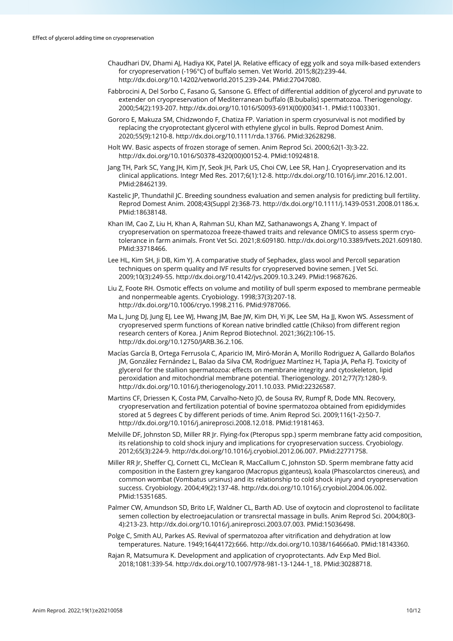- Chaudhari DV, Dhami AJ, Hadiya KK, Patel JA. Relative efficacy of egg yolk and soya milk-based extenders for cryopreservation (-196°C) of buffalo semen. Vet World. 2015;8(2):239-44. [http://dx.doi.org/10.14202/vetworld.2015.239-244.](https://doi.org/10.14202/vetworld.2015.239-244) [PMid:27047080.](https://www.ncbi.nlm.nih.gov/entrez/query.fcgi?cmd=Retrieve&db=PubMed&list_uids=27047080&dopt=Abstract)
- Fabbrocini A, Del Sorbo C, Fasano G, Sansone G. Effect of differential addition of glycerol and pyruvate to extender on cryopreservation of Mediterranean buffalo (B.bubalis) spermatozoa. Theriogenology. 2000;54(2):193-207. [http://dx.doi.org/10.1016/S0093-691X\(00\)00341-1.](https://doi.org/10.1016/S0093-691X(00)00341-1) [PMid:11003301.](https://www.ncbi.nlm.nih.gov/entrez/query.fcgi?cmd=Retrieve&db=PubMed&list_uids=11003301&dopt=Abstract)
- Gororo E, Makuza SM, Chidzwondo F, Chatiza FP. Variation in sperm cryosurvival is not modified by replacing the cryoprotectant glycerol with ethylene glycol in bulls. Reprod Domest Anim. 2020;55(9):1210-8. [http://dx.doi.org/10.1111/rda.13766.](https://doi.org/10.1111/rda.13766) [PMid:32628298.](https://www.ncbi.nlm.nih.gov/entrez/query.fcgi?cmd=Retrieve&db=PubMed&list_uids=32628298&dopt=Abstract)
- Holt WV. Basic aspects of frozen storage of semen. Anim Reprod Sci. 2000;62(1-3):3-22. [http://dx.doi.org/10.1016/S0378-4320\(00\)00152-4.](https://doi.org/10.1016/S0378-4320(00)00152-4) [PMid:10924818.](https://www.ncbi.nlm.nih.gov/entrez/query.fcgi?cmd=Retrieve&db=PubMed&list_uids=10924818&dopt=Abstract)
- Jang TH, Park SC, Yang JH, Kim JY, Seok JH, Park US, Choi CW, Lee SR, Han J. Cryopreservation and its clinical applications. Integr Med Res. 2017;6(1):12-8[. http://dx.doi.org/10.1016/j.imr.2016.12.001.](https://doi.org/10.1016/j.imr.2016.12.001) [PMid:28462139.](https://www.ncbi.nlm.nih.gov/entrez/query.fcgi?cmd=Retrieve&db=PubMed&list_uids=28462139&dopt=Abstract)
- Kastelic JP, Thundathil JC. Breeding soundness evaluation and semen analysis for predicting bull fertility. Reprod Domest Anim. 2008;43(Suppl 2):368-73[. http://dx.doi.org/10.1111/j.1439-0531.2008.01186.x](https://doi.org/10.1111/j.1439-0531.2008.01186.x)[.](https://www.ncbi.nlm.nih.gov/entrez/query.fcgi?cmd=Retrieve&db=PubMed&list_uids=18638148&dopt=Abstract) [PMid:18638148.](https://www.ncbi.nlm.nih.gov/entrez/query.fcgi?cmd=Retrieve&db=PubMed&list_uids=18638148&dopt=Abstract)
- Khan IM, Cao Z, Liu H, Khan A, Rahman SU, Khan MZ, Sathanawongs A, Zhang Y. Impact of cryopreservation on spermatozoa freeze-thawed traits and relevance OMICS to assess sperm cryotolerance in farm animals. Front Vet Sci. 2021;8:609180. [http://dx.doi.org/10.3389/fvets.2021.609180.](https://doi.org/10.3389/fvets.2021.609180) [PMid:33718466.](https://www.ncbi.nlm.nih.gov/entrez/query.fcgi?cmd=Retrieve&db=PubMed&list_uids=33718466&dopt=Abstract)
- Lee HL, Kim SH, Ji DB, Kim YJ. A comparative study of Sephadex, glass wool and Percoll separation techniques on sperm quality and IVF results for cryopreserved bovine semen. J Vet Sci. 2009;10(3):249-55[. http://dx.doi.org/10.4142/jvs.2009.10.3.249.](https://doi.org/10.4142/jvs.2009.10.3.249) [PMid:19687626.](https://www.ncbi.nlm.nih.gov/entrez/query.fcgi?cmd=Retrieve&db=PubMed&list_uids=19687626&dopt=Abstract)
- Liu Z, Foote RH. Osmotic effects on volume and motility of bull sperm exposed to membrane permeable and nonpermeable agents. Cryobiology. 1998;37(3):207-18. [http://dx.doi.org/10.1006/cryo.1998.2116.](https://doi.org/10.1006/cryo.1998.2116) [PMid:9787066.](https://www.ncbi.nlm.nih.gov/entrez/query.fcgi?cmd=Retrieve&db=PubMed&list_uids=9787066&dopt=Abstract)
- Ma L, Jung DJ, Jung EJ, Lee WJ, Hwang JM, Bae JW, Kim DH, Yi JK, Lee SM, Ha JJ, Kwon WS. Assessment of cryopreserved sperm functions of Korean native brindled cattle (Chikso) from different region research centers of Korea. J Anim Reprod Biotechnol. 2021;36(2):106-15. [http://dx.doi.org/10.12750/JARB.36.2.106.](https://doi.org/10.12750/JARB.36.2.106)
- Macías García B, Ortega Ferrusola C, Aparicio IM, Miró-Morán A, Morillo Rodriguez A, Gallardo Bolaños JM, González Fernández L, Balao da Silva CM, Rodríguez Martínez H, Tapia JA, Peña FJ. Toxicity of glycerol for the stallion spermatozoa: effects on membrane integrity and cytoskeleton, lipid peroxidation and mitochondrial membrane potential. Theriogenology. 2012;77(7):1280-9. [http://dx.doi.org/10.1016/j.theriogenology.2011.10.033.](https://doi.org/10.1016/j.theriogenology.2011.10.033) [PMid:22326587.](https://www.ncbi.nlm.nih.gov/entrez/query.fcgi?cmd=Retrieve&db=PubMed&list_uids=22326587&dopt=Abstract)
- Martins CF, Driessen K, Costa PM, Carvalho-Neto JO, de Sousa RV, Rumpf R, Dode MN. Recovery, cryopreservation and fertilization potential of bovine spermatozoa obtained from epididymides stored at 5 degrees C by different periods of time. Anim Reprod Sci. 2009;116(1-2):50-7. [http://dx.doi.org/10.1016/j.anireprosci.2008.12.018.](https://doi.org/10.1016/j.anireprosci.2008.12.018) [PMid:19181463.](https://www.ncbi.nlm.nih.gov/entrez/query.fcgi?cmd=Retrieve&db=PubMed&list_uids=19181463&dopt=Abstract)
- Melville DF, Johnston SD, Miller RR Jr. Flying-fox (Pteropus spp.) sperm membrane fatty acid composition, its relationship to cold shock injury and implications for cryopreservation success. Cryobiology. 2012;65(3):224-9[. http://dx.doi.org/10.1016/j.cryobiol.2012.06.007.](https://doi.org/10.1016/j.cryobiol.2012.06.007) [PMid:22771758.](https://www.ncbi.nlm.nih.gov/entrez/query.fcgi?cmd=Retrieve&db=PubMed&list_uids=22771758&dopt=Abstract)
- Miller RR Jr, Sheffer CJ, Cornett CL, McClean R, MacCallum C, Johnston SD. Sperm membrane fatty acid composition in the Eastern grey kangaroo (Macropus giganteus), koala (Phascolarctos cinereus), and common wombat (Vombatus ursinus) and its relationship to cold shock injury and cryopreservation success. Cryobiology. 2004;49(2):137-48[. http://dx.doi.org/10.1016/j.cryobiol.2004.06.002](https://doi.org/10.1016/j.cryobiol.2004.06.002)[.](https://www.ncbi.nlm.nih.gov/entrez/query.fcgi?cmd=Retrieve&db=PubMed&list_uids=15351685&dopt=Abstract) [PMid:15351685.](https://www.ncbi.nlm.nih.gov/entrez/query.fcgi?cmd=Retrieve&db=PubMed&list_uids=15351685&dopt=Abstract)
- Palmer CW, Amundson SD, Brito LF, Waldner CL, Barth AD. Use of oxytocin and cloprostenol to facilitate semen collection by electroejaculation or transrectal massage in bulls. Anim Reprod Sci. 2004;80(3- 4):213-23[. http://dx.doi.org/10.1016/j.anireprosci.2003.07.003.](https://doi.org/10.1016/j.anireprosci.2003.07.003) [PMid:15036498.](https://www.ncbi.nlm.nih.gov/entrez/query.fcgi?cmd=Retrieve&db=PubMed&list_uids=15036498&dopt=Abstract)
- Polge C, Smith AU, Parkes AS. Revival of spermatozoa after vitrification and dehydration at low temperatures. Nature. 1949;164(4172):666. [http://dx.doi.org/10.1038/164666a0.](https://doi.org/10.1038/164666a0) [PMid:18143360.](https://www.ncbi.nlm.nih.gov/entrez/query.fcgi?cmd=Retrieve&db=PubMed&list_uids=18143360&dopt=Abstract)
- Rajan R, Matsumura K. Development and application of cryoprotectants. Adv Exp Med Biol. 2018;1081:339-54. [http://dx.doi.org/10.1007/978-981-13-1244-1\\_18.](https://doi.org/10.1007/978-981-13-1244-1_18) [PMid:30288718.](https://www.ncbi.nlm.nih.gov/entrez/query.fcgi?cmd=Retrieve&db=PubMed&list_uids=30288718&dopt=Abstract)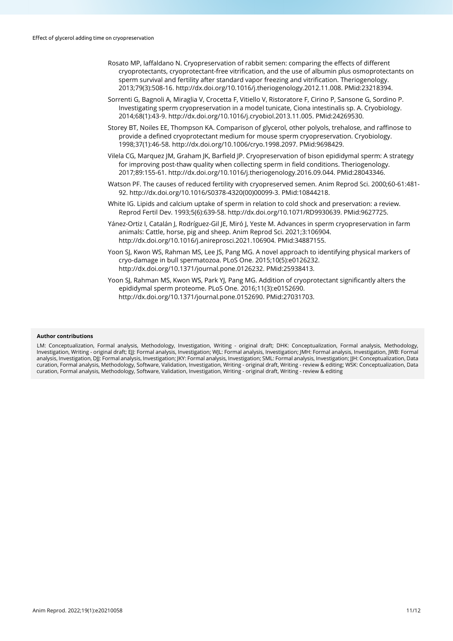- Rosato MP, Iaffaldano N. Cryopreservation of rabbit semen: comparing the effects of different cryoprotectants, cryoprotectant-free vitrification, and the use of albumin plus osmoprotectants on sperm survival and fertility after standard vapor freezing and vitrification. Theriogenology. 2013;79(3):508-16. [http://dx.doi.org/10.1016/j.theriogenology.2012.11.008.](https://doi.org/10.1016/j.theriogenology.2012.11.008) [PMid:23218394.](https://www.ncbi.nlm.nih.gov/entrez/query.fcgi?cmd=Retrieve&db=PubMed&list_uids=23218394&dopt=Abstract)
- Sorrenti G, Bagnoli A, Miraglia V, Crocetta F, Vitiello V, Ristoratore F, Cirino P, Sansone G, Sordino P. Investigating sperm cryopreservation in a model tunicate, Ciona intestinalis sp. A. Cryobiology. 2014;68(1):43-9[. http://dx.doi.org/10.1016/j.cryobiol.2013.11.005.](https://doi.org/10.1016/j.cryobiol.2013.11.005) [PMid:24269530.](https://www.ncbi.nlm.nih.gov/entrez/query.fcgi?cmd=Retrieve&db=PubMed&list_uids=24269530&dopt=Abstract)
- Storey BT, Noiles EE, Thompson KA. Comparison of glycerol, other polyols, trehalose, and raffinose to provide a defined cryoprotectant medium for mouse sperm cryopreservation. Cryobiology. 1998;37(1):46-58[. http://dx.doi.org/10.1006/cryo.1998.2097.](https://doi.org/10.1006/cryo.1998.2097) [PMid:9698429.](https://www.ncbi.nlm.nih.gov/entrez/query.fcgi?cmd=Retrieve&db=PubMed&list_uids=9698429&dopt=Abstract)
- Vilela CG, Marquez JM, Graham JK, Barfield JP. Cryopreservation of bison epididymal sperm: A strategy for improving post-thaw quality when collecting sperm in field conditions. Theriogenology. 2017;89:155-61[. http://dx.doi.org/10.1016/j.theriogenology.2016.09.044.](https://doi.org/10.1016/j.theriogenology.2016.09.044) [PMid:28043346.](https://www.ncbi.nlm.nih.gov/entrez/query.fcgi?cmd=Retrieve&db=PubMed&list_uids=28043346&dopt=Abstract)
- Watson PF. The causes of reduced fertility with cryopreserved semen. Anim Reprod Sci. 2000;60-61:481- 92[. http://dx.doi.org/10.1016/S0378-4320\(00\)00099-3.](https://doi.org/10.1016/S0378-4320(00)00099-3) [PMid:10844218.](https://www.ncbi.nlm.nih.gov/entrez/query.fcgi?cmd=Retrieve&db=PubMed&list_uids=10844218&dopt=Abstract)
- White IG. Lipids and calcium uptake of sperm in relation to cold shock and preservation: a review. Reprod Fertil Dev. 1993;5(6):639-58[. http://dx.doi.org/10.1071/RD9930639.](https://doi.org/10.1071/RD9930639) [PMid:9627725.](https://www.ncbi.nlm.nih.gov/entrez/query.fcgi?cmd=Retrieve&db=PubMed&list_uids=9627725&dopt=Abstract)
- Yánez-Ortiz I, Catalán J, Rodríguez-Gil JE, Miró J, Yeste M. Advances in sperm cryopreservation in farm animals: Cattle, horse, pig and sheep. Anim Reprod Sci. 2021;3:106904. [http://dx.doi.org/10.1016/j.anireprosci.2021.106904.](https://doi.org/10.1016/j.anireprosci.2021.106904) [PMid:34887155.](https://www.ncbi.nlm.nih.gov/entrez/query.fcgi?cmd=Retrieve&db=PubMed&list_uids=34887155&dopt=Abstract)
- Yoon SJ, Kwon WS, Rahman MS, Lee JS, Pang MG. A novel approach to identifying physical markers of cryo-damage in bull spermatozoa. PLoS One. 2015;10(5):e0126232. [http://dx.doi.org/10.1371/journal.pone.0126232.](https://doi.org/10.1371/journal.pone.0126232) [PMid:25938413.](https://www.ncbi.nlm.nih.gov/entrez/query.fcgi?cmd=Retrieve&db=PubMed&list_uids=25938413&dopt=Abstract)
- Yoon SJ, Rahman MS, Kwon WS, Park YJ, Pang MG. Addition of cryoprotectant significantly alters the epididymal sperm proteome. PLoS One. 2016;11(3):e0152690. [http://dx.doi.org/10.1371/journal.pone.0152690.](https://doi.org/10.1371/journal.pone.0152690) [PMid:27031703.](https://www.ncbi.nlm.nih.gov/entrez/query.fcgi?cmd=Retrieve&db=PubMed&list_uids=27031703&dopt=Abstract)

#### **Author contributions**

LM: Conceptualization, Formal analysis, Methodology, Investigation, Writing - original draft; DHK: Conceptualization, Formal analysis, Methodology, Investigation, Writing - original draft; EJJ: Formal analysis, Investigation; WJL: Formal analysis, Investigation; JMH: Formal analysis, Investigation, JWB: Formal analysis, Investigation, DJJ: Formal analysis, Investigation; JKY: Formal analysis, Investigation; SML: Formal analysis, Investigation; JJH: Conceptualization, Data curation, Formal analysis, Methodology, Software, Validation, Investigation, Writing - original draft, Writing - review & editing; WSK: Conceptualization, Data curation, Formal analysis, Methodology, Software, Validation, Investigation, Writing - original draft, Writing - review & editing